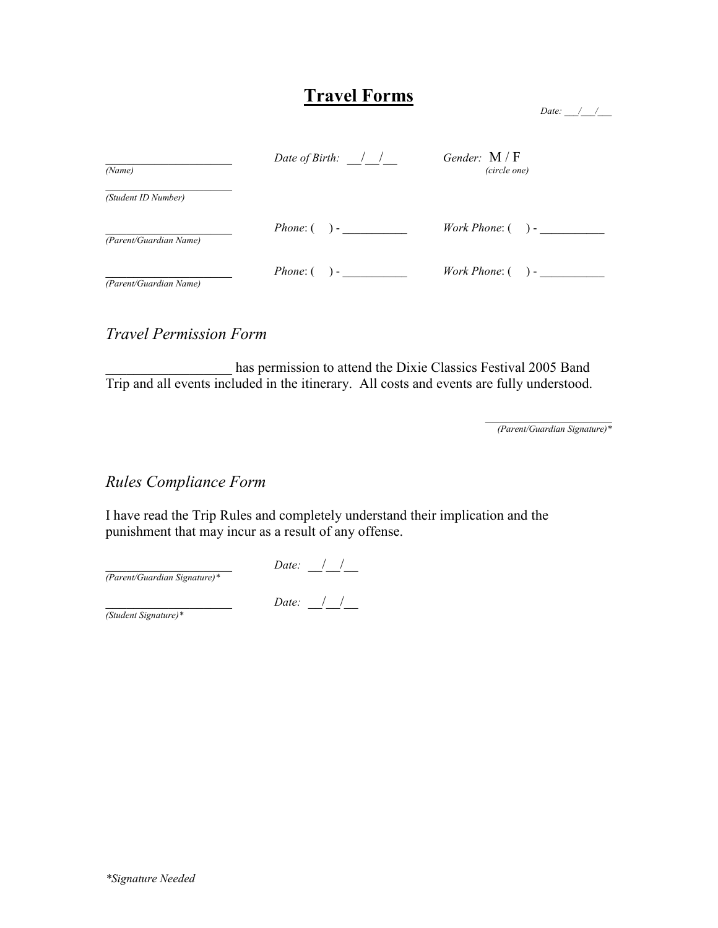## Travel Forms

| Date: |  |
|-------|--|
|       |  |

| (Name)                 | Date of Birth: $\frac{1}{2}$ | Gender: $M/F$<br>(circle one) |  |  |
|------------------------|------------------------------|-------------------------------|--|--|
| (Student ID Number)    |                              |                               |  |  |
| (Parent/Guardian Name) | <i>Phone</i> : $($ $)$ -     | <i>Work Phone:</i> $($ ) -    |  |  |
| (Parent/Guardian Name) | <i>Phone</i> : $($ $)$ -     | <i>Work Phone:</i> $($ $)$ -  |  |  |

#### Travel Permission Form

has permission to attend the Dixie Classics Festival 2005 Band Trip and all events included in the itinerary. All costs and events are fully understood.

> $\overline{\phantom{a}}$  , which is a set of the set of the set of the set of the set of the set of the set of the set of the set of the set of the set of the set of the set of the set of the set of the set of the set of the set of th (Parent/Guardian Signature)\*

#### Rules Compliance Form

I have read the Trip Rules and completely understand their implication and the punishment that may incur as a result of any offense.

Date:  $\frac{\frac{1}{2}$ (Parent/Guardian Signature)\* Date:  $\frac{\frac{1}{\sqrt{2}}}{\frac{1}{\sqrt{2}}}$ 

(Student Signature)\*